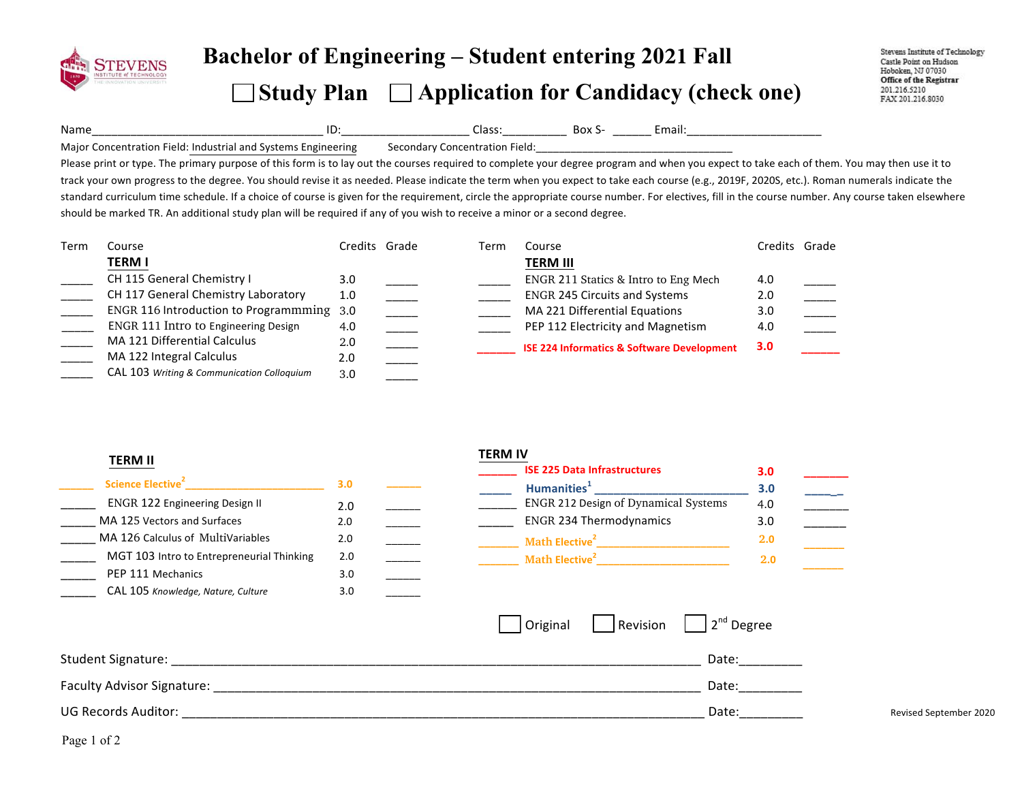

## **Bachelor of Engineering – Student entering <sup>20</sup><sup>21</sup> Fall**   $\Box$  Study Plan  $\Box$  Application for Candidacy (check one)

Stevens Institute of Technology Castle Point on Hudson Hoboken, NJ 07030 Office of the Registrar 201.216.5210 FAX 201.216.8030

Name\_\_\_\_\_\_\_\_\_\_\_\_\_\_\_\_\_\_\_\_\_\_\_\_\_\_\_\_\_\_\_\_\_\_\_\_!ID:\_\_\_\_\_\_\_\_\_\_\_\_\_\_\_\_\_\_\_\_!Class:\_\_\_\_\_\_\_\_\_\_!!Box!S- \_\_\_\_\_\_!Email:\_\_\_\_\_\_\_\_\_\_\_\_\_\_\_\_\_\_\_\_\_!

Major Concentration Field: Industrial and Systems Engineering Secondary Concentration Field:

Please print or type. The primary purpose of this form is to lay out the courses required to complete your degree program and when you expect to take each of them. You may then use it to track your own progress to the degree. You should revise it as needed. Please indicate the term when you expect to take each course (e.g., 2019F, 2020S, etc.). Roman numerals indicate the standard curriculum time schedule. If a choice of course is given for the requirement, circle the appropriate course number. For electives, fill in the course number. Any course taken elsewhere should be marked TR. An additional study plan will be required if any of you wish to receive a minor or a second degree.

| Term | Course                                     | Credits Grade | Term | Course                                                | Credits          | Grade |
|------|--------------------------------------------|---------------|------|-------------------------------------------------------|------------------|-------|
|      | TERM I                                     |               |      | <b>TERM III</b>                                       |                  |       |
|      | CH 115 General Chemistry I                 | 3.0           |      | ENGR 211 Statics & Intro to Eng Mech                  | 4.0              |       |
|      | CH 117 General Chemistry Laboratory        | 1.0           |      | <b>ENGR 245 Circuits and Systems</b>                  | 2.0              |       |
|      | ENGR 116 Introduction to Programmming 3.0  |               |      | MA 221 Differential Equations                         | 3.0              |       |
|      | ENGR 111 Intro to Engineering Design       | 4.0           |      | PEP 112 Electricity and Magnetism                     | 4.0              |       |
|      | MA 121 Differential Calculus               | 2.0           |      | <b>ISE 224 Informatics &amp; Software Development</b> | 3.0 <sub>2</sub> |       |
|      | MA 122 Integral Calculus                   | 2.0           |      |                                                       |                  |       |
|      | CAL 103 Writing & Communication Colloguium | 3.0           |      |                                                       |                  |       |

| w<br>L<br>н |
|-------------|
|-------------|

|                                           |                  |  |                                      | --- |
|-------------------------------------------|------------------|--|--------------------------------------|-----|
| Science Elective <sup>2</sup>             | 3.0 <sub>2</sub> |  | Humanities <sup>1</sup>              | 3.0 |
| <b>ENGR 122 Engineering Design II</b>     | 2.0              |  | ENGR 212 Design of Dynamical Systems | 4.0 |
| MA 125 Vectors and Surfaces               | 2.0              |  | <b>ENGR 234 Thermodynamics</b>       | 3.0 |
| MA 126 Calculus of MultiVariables         | 2.0              |  | Math Elective <sup>2</sup>           | 2.0 |
| MGT 103 Intro to Entrepreneurial Thinking | 2.0              |  | Math Elective <sup>2</sup>           | 2.0 |
| PEP 111 Mechanics                         | 3.0              |  |                                      |     |
| CAL 105 Knowledge, Nature, Culture        | 3.0              |  |                                      |     |
|                                           |                  |  |                                      |     |

## **TERM%IV**

| <b>CAL 103 Writing &amp; Communication Colloguium</b> | 3.0 |                                                       |     |
|-------------------------------------------------------|-----|-------------------------------------------------------|-----|
|                                                       |     |                                                       |     |
| <b>TERM II</b>                                        |     | <b>TERM IV</b><br><b>ISE 225 Data Infrastructures</b> | 3.0 |
| Science Elective <sup>2</sup>                         | 3.0 | Humanities <sup>1</sup>                               | 3.0 |
| ENGR 122 Engineering Design II                        | 2.0 | ENGR 212 Design of Dynamical Systems                  | 4.0 |
| MA 125 Vectors and Surfaces                           | 2.0 | <b>ENGR 234 Thermodynamics</b>                        | 3.0 |
| MA 126 Calculus of MultiVariables                     | 2.0 | Math Elective <sup>2</sup>                            | 2.0 |
| MGT 103 Intro to Entrepreneurial Thinking             | 2.0 | Math Elective <sup>2</sup>                            | 2.0 |
|                                                       |     |                                                       |     |

|                                   | Original | Revision | $2nd$ Degree |                        |
|-----------------------------------|----------|----------|--------------|------------------------|
| Student Signature:                |          |          | Date:        |                        |
| <b>Faculty Advisor Signature:</b> |          |          | Date:        |                        |
| <b>UG Records Auditor:</b>        |          |          | Date:        | Revised September 2020 |